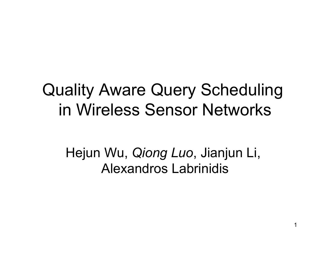#### Quality Aware Query Scheduling in Wireless Sensor Networks

Hejun Wu, *Qiong Luo*, Jianjun Li, Alexandros Labrinidis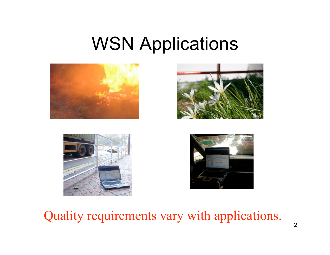### WSN Applications









Quality requirements vary with applications.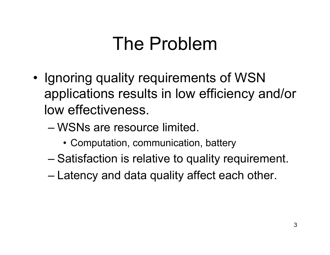## The Problem

- Ignoring quality requirements of WSN applications results in low efficiency and/or low effectiveness.
	- WSNs are resource limited.
		- Computation, communication, battery
	- Satisfaction is relative to quality requirement.
	- Latency and data quality affect each other.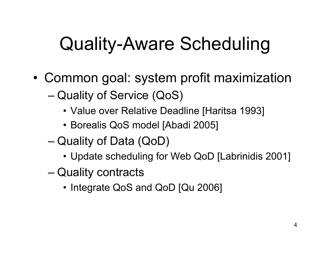## Quality-Aware Scheduling

- Common goal: system profit maximization
	- Quality of Service (QoS)
		- Value over Relative Deadline [Haritsa 1993]
		- Borealis QoS model [Abadi 2005]
	- Quality of Data (QoD)
		- Update scheduling for Web QoD [Labrinidis 2001]
	- Quality contracts
		- Integrate QoS and QoD [Qu 2006]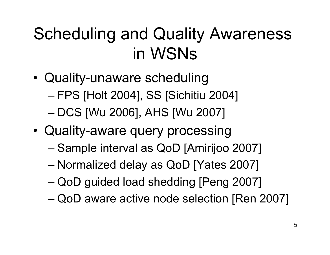### Scheduling and Quality Awareness in WSNs

- Quality-unaware scheduling
	- FPS [Holt 2004], SS [Sichitiu 2004]
	- DCS [Wu 2006], AHS [Wu 2007]
- Quality-aware query processing
	- Sample interval as QoD [Amirijoo 2007]
	- Normalized delay as QoD [Yates 2007]
	- QoD guided load shedding [Peng 2007]
	- QoD aware active node selection [Ren 2007]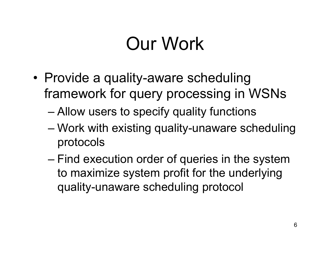## Our Work

- Provide a quality-aware scheduling framework for query processing in WSNs
	- Allow users to specify quality functions
	- Work with existing quality-unaware scheduling protocols
	- Find execution order of queries in the system to maximize system profit for the underlying quality-unaware scheduling protocol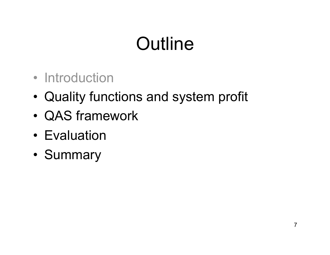# **Outline**

- Introduction
- Quality functions and system profit
- QAS framework
- Evaluation
- Summary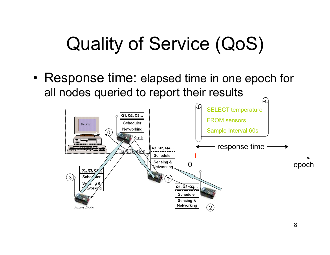## Quality of Service (QoS)

• Response time: elapsed time in one epoch for all nodes queried to report their results

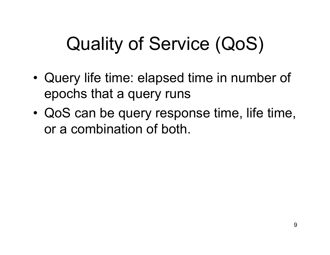# Quality of Service (QoS)

- Query life time: elapsed time in number of epochs that a query runs
- QoS can be query response time, life time, or a combination of both.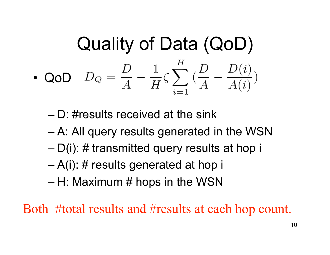**Quality of Data (QOD)**  
\n• QoD 
$$
D_Q = \frac{D}{A} - \frac{1}{H} \zeta \sum_{i=1}^H (\frac{D}{A} - \frac{D(i)}{A(i)})
$$

– D: #results received at the sink

- A: All query results generated in the WSN
- D(i): # transmitted query results at hop i
- A(i): # results generated at hop i
- $-$  H: Maximum # hops in the WSN

Both #total results and #results at each hop count.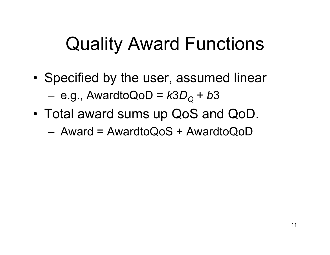## Quality Award Functions

- Specified by the user, assumed linear  $-$  e.g., AwardtoQoD =  $k3D_{\Omega}$  + b3
- Total award sums up QoS and QoD.

 $-$  Award = AwardtoQoS + AwardtoQoD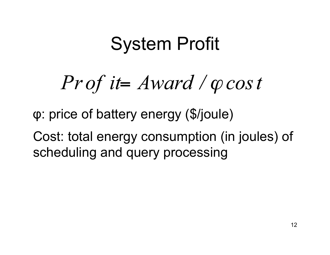### System Profit

 $Prot$  it = Award /  $\varphi$  cos t

φ: price of battery energy (\$/joule)

Cost: total energy consumption (in joules) of scheduling and query processing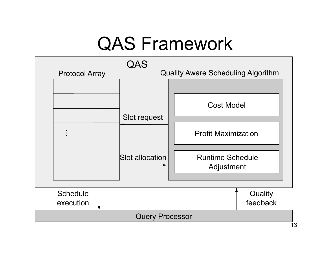## QAS Framework

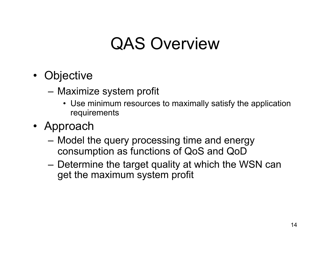#### QAS Overview

- Objective
	-
	- Maximize system profit Use minimum resources to maximally satisfy the application requirements
- Approach
	- Model the query processing time and energy consumption as functions of QoS and QoD
	- Determine the target quality at which the WSN can get the maximum system profit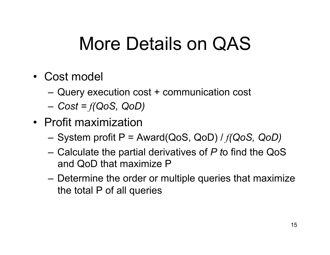## More Details on QAS

- Cost model
	- Query execution cost + communication cost
	- *Cost = f(QoS, QoD)*
- Profit maximization
	- System profit P = Award(QoS, QoD) / *f(QoS, QoD)*
	- Calculate the partial derivatives of *P t*o find the QoS and QoD that maximize P
	- Determine the order or multiple queries that maximize the total P of all queries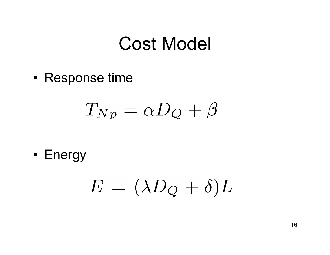### Cost Model

• Response time

$$
T_{Np}=\alpha D_{Q}+\beta
$$

• Energy

$$
E\,=\,(\lambda D_Q\,+\,\delta)L
$$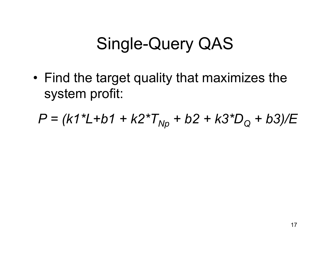#### Single-Query QAS

• Find the target quality that maximizes the system profit:

$$
P = (k1^*L + b1 + k2^*T_{Np} + b2 + k3^*D_Q + b3)/E
$$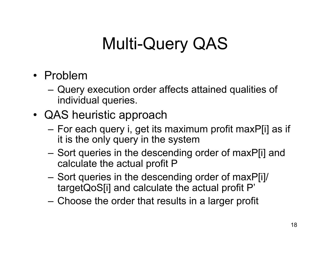### Multi-Query QAS

- Problem
	- Query execution order affects attained qualities of individual queries.
- QAS heuristic approach
	- For each query i, get its maximum profit maxP[i] as if it is the only query in the system
	- Sort queries in the descending order of maxP[i] and calculate the actual profit P
	- Sort queries in the descending order of maxP[i]/ targetQoS[i] and calculate the actual profit P'
	- Choose the order that results in a larger profit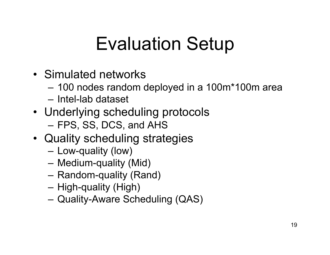## Evaluation Setup

- Simulated networks
	- 100 nodes random deployed in a 100m\*100m area
	- Intel-lab dataset
- Underlying scheduling protocols – FPS, SS, DCS, and AHS
- Quality scheduling strategies
	- Low-quality (low)
	- Medium-quality (Mid)
	- Random-quality (Rand)
	- High-quality (High)
	- Quality-Aware Scheduling (QAS)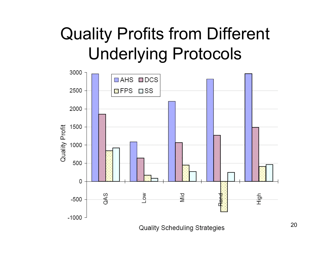### Quality Profits from Different Underlying Protocols

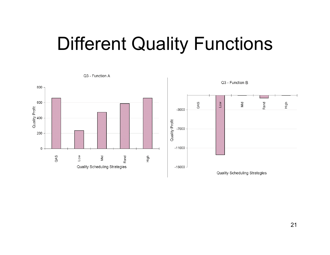### Different Quality Functions

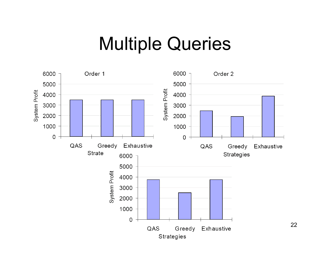#### Multiple Queries